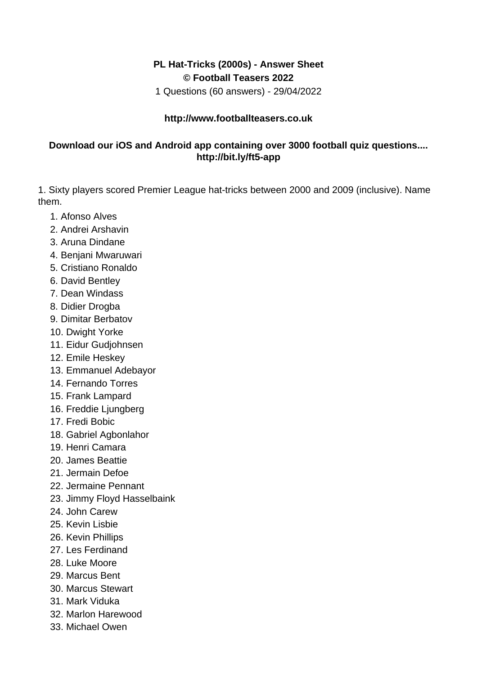## **PL Hat-Tricks (2000s) - Answer Sheet © Football Teasers 2022**

1 Questions (60 answers) - 29/04/2022

## **http://www.footballteasers.co.uk**

## **Download our iOS and Android app containing over 3000 football quiz questions.... http://bit.ly/ft5-app**

1. Sixty players scored Premier League hat-tricks between 2000 and 2009 (inclusive). Name them.

- 1. Afonso Alves
- 2. Andrei Arshavin
- 3. Aruna Dindane
- 4. Benjani Mwaruwari
- 5. Cristiano Ronaldo
- 6. David Bentley
- 7. Dean Windass
- 8. Didier Drogba
- 9. Dimitar Berbatov
- 10. Dwight Yorke
- 11. Eidur Gudjohnsen
- 12. Emile Heskey
- 13. Emmanuel Adebayor
- 14. Fernando Torres
- 15. Frank Lampard
- 16. Freddie Ljungberg
- 17. Fredi Bobic
- 18. Gabriel Agbonlahor
- 19. Henri Camara
- 20. James Beattie
- 21. Jermain Defoe
- 22. Jermaine Pennant
- 23. Jimmy Floyd Hasselbaink
- 24. John Carew
- 25. Kevin Lisbie
- 26. Kevin Phillips
- 27. Les Ferdinand
- 28. Luke Moore
- 29. Marcus Bent
- 30. Marcus Stewart
- 31. Mark Viduka
- 32. Marlon Harewood
- 33. Michael Owen